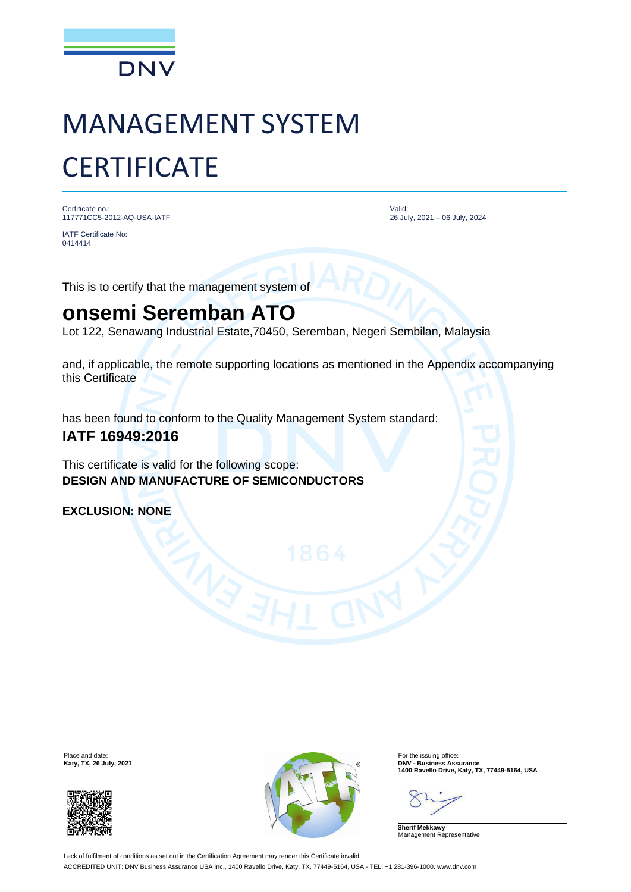

# MANAGEMENT SYSTEM **CERTIFICATE**

Certificate no.: 117771CC5-2012-AQ-USA-IATF

IATF Certificate No: 0414414

Valid: 26 July, 2021 – 06 July, 2024

This is to certify that the management system of

## **onsemi Seremban ATO**

Lot 122, Senawang Industrial Estate,70450, Seremban, Negeri Sembilan, Malaysia

and, if applicable, the remote supporting locations as mentioned in the Appendix accompanying this Certificate

has been found to conform to the Quality Management System standard:

### **IATF 16949:2016**

This certificate is valid for the following scope: **DESIGN AND MANUFACTURE OF SEMICONDUCTORS**

**EXCLUSION: NONE**





**Katy, TX, 26 July, 2021**<br> **1400 Ravello Drive, Katy, TX, 77449-5164, USA**<br> **1400 Ravello Drive, Katy, TX, 77449-5164, USA** 

**Sherif Mekkawy** Management Representative

Lack of fulfilment of conditions as set out in the Certification Agreement may render this Certificate invalid. ACCREDITED UNIT: DNV Business Assurance USA Inc., 1400 Ravello Drive, Katy, TX, 77449-5164, USA - TEL: +1 281-396-1000. www.dnv.com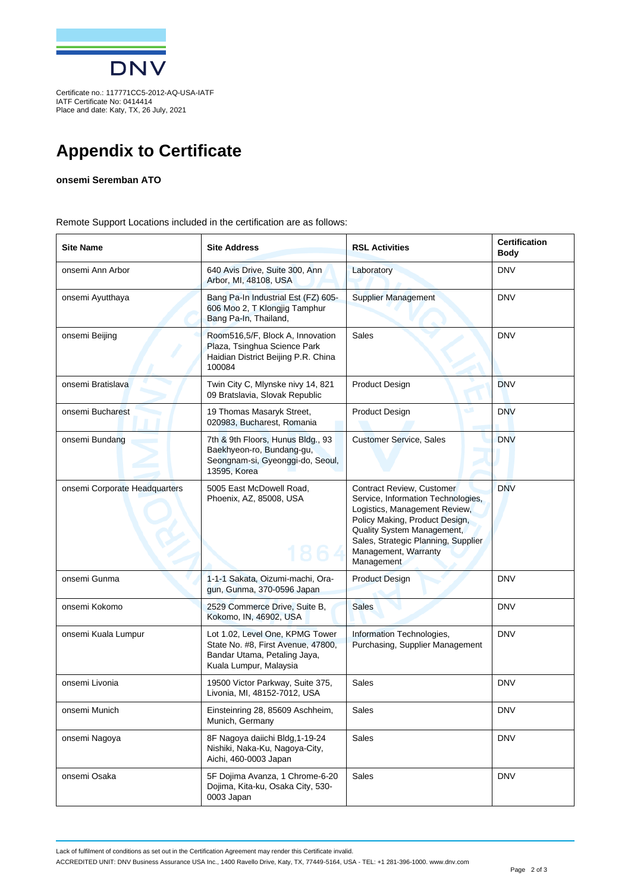

IATF Certificate No: 0414414 Place and date: Katy, TX, 26 July, 2021

## **Appendix to Certificate**

#### **onsemi Seremban ATO**

Remote Support Locations included in the certification are as follows:

| <b>Site Name</b>              | <b>Site Address</b>                                                                                                             | <b>RSL Activities</b>                                                                                                                                                                                                                         | <b>Certification</b><br><b>Body</b> |
|-------------------------------|---------------------------------------------------------------------------------------------------------------------------------|-----------------------------------------------------------------------------------------------------------------------------------------------------------------------------------------------------------------------------------------------|-------------------------------------|
| onsemi Ann Arbor              | 640 Avis Drive, Suite 300, Ann<br>Arbor, MI, 48108, USA                                                                         | Laboratory                                                                                                                                                                                                                                    | <b>DNV</b>                          |
| onsemi Ayutthaya              | Bang Pa-In Industrial Est (FZ) 605-<br>606 Moo 2, T Klongjig Tamphur<br>Bang Pa-In, Thailand,                                   | <b>Supplier Management</b>                                                                                                                                                                                                                    | <b>DNV</b>                          |
| onsemi Beijing                | Room516,5/F, Block A, Innovation<br>Plaza, Tsinghua Science Park<br>Haidian District Beijing P.R. China<br>100084               | <b>Sales</b>                                                                                                                                                                                                                                  | <b>DNV</b>                          |
| onsemi Bratislava             | Twin City C, Mlynske nivy 14, 821<br>09 Bratslavia, Slovak Republic                                                             | <b>Product Design</b>                                                                                                                                                                                                                         | <b>DNV</b>                          |
| onsemi Bucharest              | 19 Thomas Masaryk Street,<br>020983, Bucharest, Romania                                                                         | ی<br><b>Product Design</b>                                                                                                                                                                                                                    | <b>DNV</b>                          |
| onsemi Bundang                | 7th & 9th Floors, Hunus Bldg., 93<br>Baekhyeon-ro, Bundang-gu,<br>Seongnam-si, Gyeonggi-do, Seoul,<br>13595, Korea              | <b>Customer Service, Sales</b>                                                                                                                                                                                                                | <b>DNV</b>                          |
| onsemi Corporate Headquarters | 5005 East McDowell Road,<br>Phoenix, AZ, 85008, USA                                                                             | Contract Review, Customer<br>Service, Information Technologies,<br>Logistics, Management Review,<br>Policy Making, Product Design,<br>Quality System Management,<br>Sales, Strategic Planning, Supplier<br>Management, Warranty<br>Management | <b>DNV</b>                          |
| onsemi Gunma                  | 1-1-1 Sakata, Oizumi-machi, Ora-<br>gun, Gunma, 370-0596 Japan                                                                  | <b>Product Design</b>                                                                                                                                                                                                                         | <b>DNV</b>                          |
| onsemi Kokomo                 | 2529 Commerce Drive, Suite B,<br>Kokomo, IN, 46902, USA                                                                         | <b>Sales</b>                                                                                                                                                                                                                                  | <b>DNV</b>                          |
| onsemi Kuala Lumpur           | Lot 1.02, Level One, KPMG Tower<br>State No. #8, First Avenue, 47800,<br>Bandar Utama, Petaling Jaya,<br>Kuala Lumpur, Malaysia | Information Technologies,<br>Purchasing, Supplier Management                                                                                                                                                                                  | <b>DNV</b>                          |
| onsemi Livonia                | 19500 Victor Parkway, Suite 375,<br>Livonia, MI, 48152-7012, USA                                                                | Sales                                                                                                                                                                                                                                         | <b>DNV</b>                          |
| onsemi Munich                 | Einsteinring 28, 85609 Aschheim,<br>Munich, Germany                                                                             | Sales                                                                                                                                                                                                                                         | <b>DNV</b>                          |
| onsemi Nagoya                 | 8F Nagoya daiichi Bldg, 1-19-24<br>Nishiki, Naka-Ku, Nagoya-City,<br>Aichi, 460-0003 Japan                                      | Sales                                                                                                                                                                                                                                         | <b>DNV</b>                          |
| onsemi Osaka                  | 5F Dojima Avanza, 1 Chrome-6-20<br>Dojima, Kita-ku, Osaka City, 530-<br>0003 Japan                                              | Sales                                                                                                                                                                                                                                         | <b>DNV</b>                          |

Lack of fulfilment of conditions as set out in the Certification Agreement may render this Certificate invalid.

ACCREDITED UNIT: DNV Business Assurance USA Inc., 1400 Ravello Drive, Katy, TX, 77449-5164, USA - TEL: +1 281-396-1000. www.dnv.com